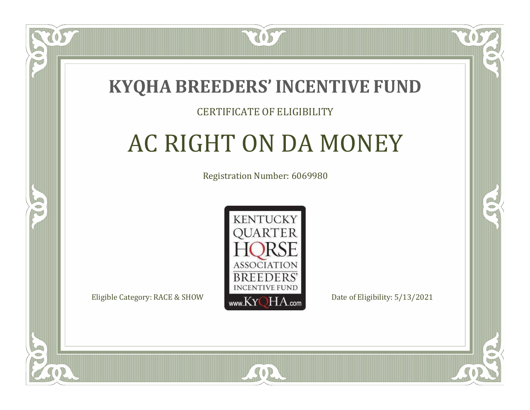### **KYQHA BREEDERS'INCENTIVE FUND**

7057

### CERTIFICATE OF ELIGIBILITY

# AC RIGHT ON DA MONEY

Registration Number: 6069980



SOR

RO

P.

 $\Box$ T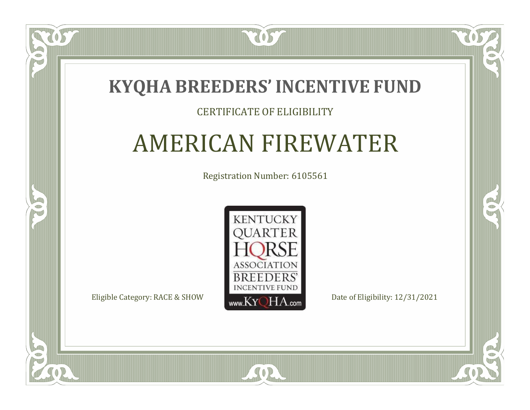

#### CERTIFICATE OF ELIGIBILITY

### AMERICAN FIREWATER

Registration Number: 6105561



SOR

RO

 $\rightarrow$ 

 $\Box$ T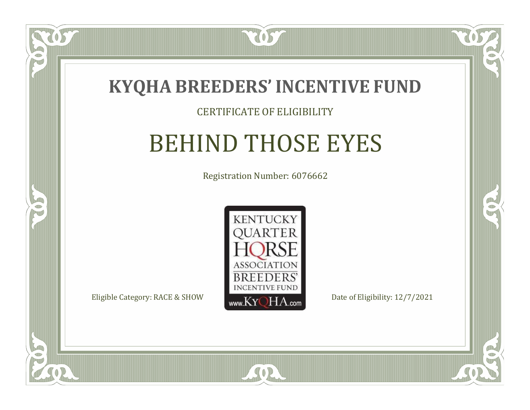

#### CERTIFICATE OF ELIGIBILITY

### BEHIND THOSE EYES

Registration Number: 6076662



SOR

RO

B)

 $\Box$ N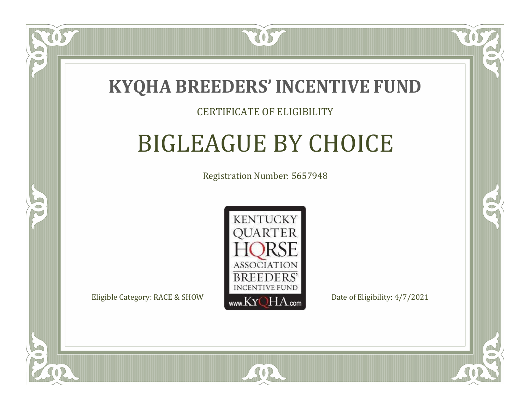

#### CERTIFICATE OF ELIGIBILITY

# BIGLEAGUE BY CHOICE

Registration Number: 5657948



SOR

RO

P.

 $\Box$ N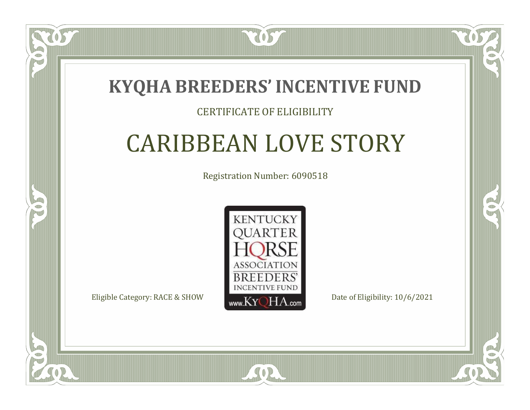

#### CERTIFICATE OF ELIGIBILITY

### CARIBBEAN LOVE STORY

Registration Number: 6090518



SOR

RO

P.

 $\Box$ T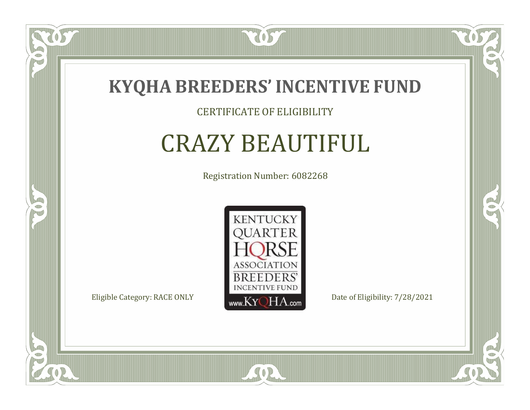

#### CERTIFICATE OF ELIGIBILITY

### CRAZY BEAUTIFUL

Registration Number: 6082268



SOR

CO.

 $\rightarrow$ 

 $\delta S$ 

 $\Box$ NU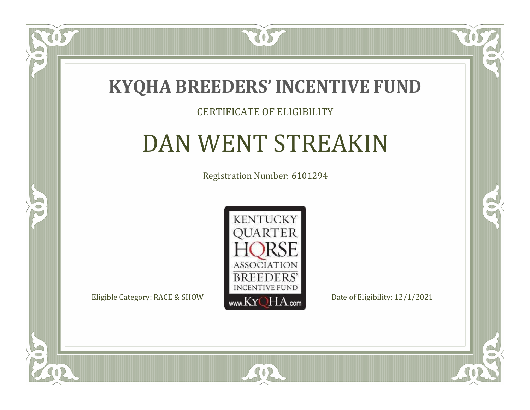

#### CERTIFICATE OF ELIGIBILITY

# DAN WENT STREAKIN

Registration Number: 6101294



SOR

 $\mathbb{R}$ 

 $\rightarrow$ 

US

 $\Box$ NU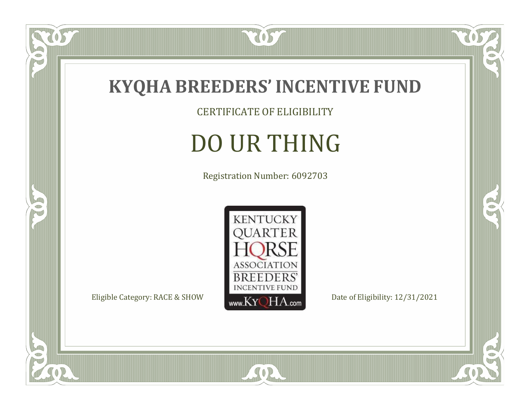

CERTIFICATE OF ELIGIBILITY

# DO UR THING

Registration Number: 6092703



SOR

 $\mathbb{R}$ 

 $\mathbb{R}^2$ 

 $\overline{OS}$ 

 $\bullet$ N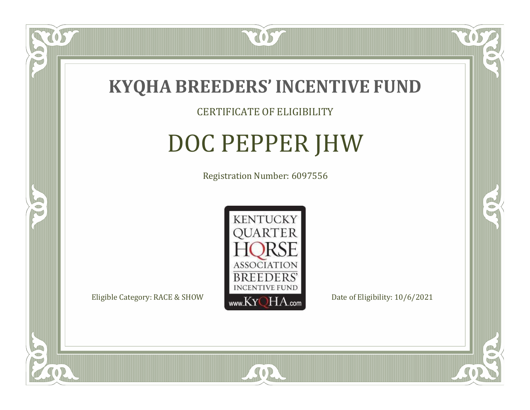

### CERTIFICATE OF ELIGIBILITY

# DOC PEPPER JHW

Registration Number: 6097556



 $SO<sub>2</sub>$ 

RO

CO.

 $\Box$ N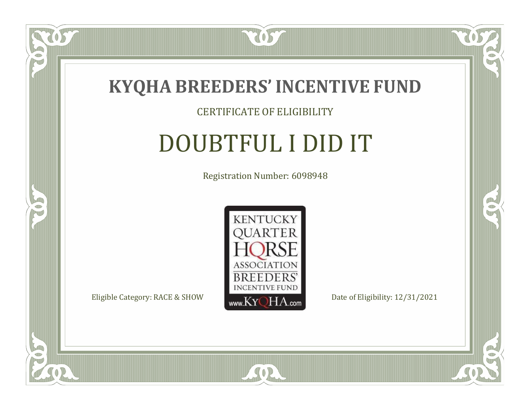

#### CERTIFICATE OF ELIGIBILITY

### DOUBTFUL I DID IT

Registration Number: 6098948



SOR

CO.

 $\rightarrow$ 

 $\overline{OS}$ 

 $\bullet$ NU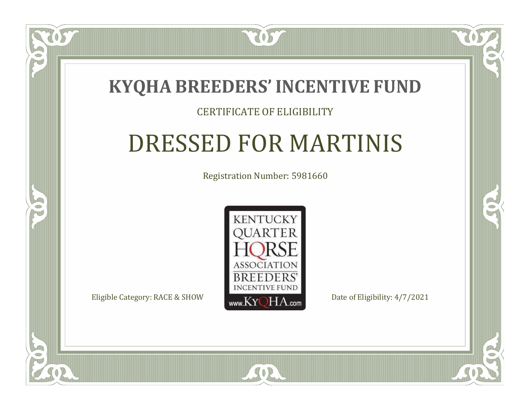

#### CERTIFICATE OF ELIGIBILITY

# DRESSED FOR MARTINIS

Registration Number: 5981660



 $SO2$ 

CO.

 $\rightarrow$ 

 $\Box$ N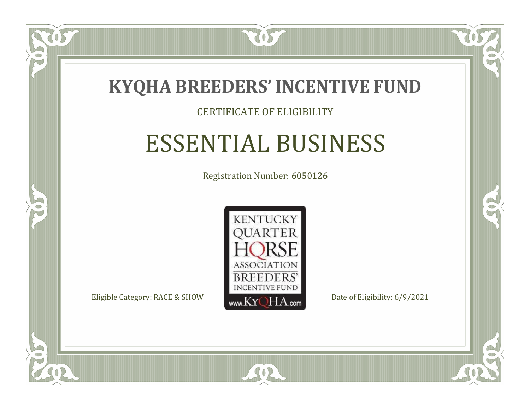

#### CERTIFICATE OF ELIGIBILITY

### ESSENTIAL BUSINESS

Registration Number: 6050126



SOR

RO

B)

 $\Box$ N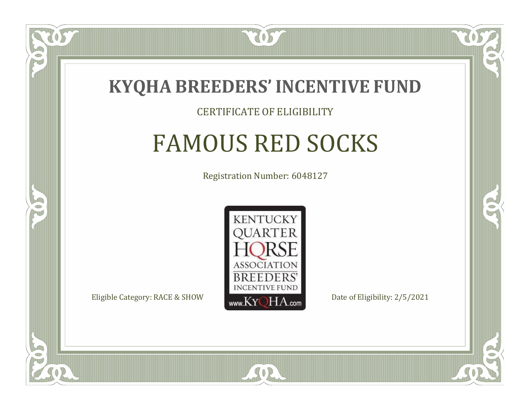

#### CERTIFICATE OF ELIGIBILITY

## FAMOUS RED SOCKS

Registration Number: 6048127



SOR

RO

B)

 $\Box$ N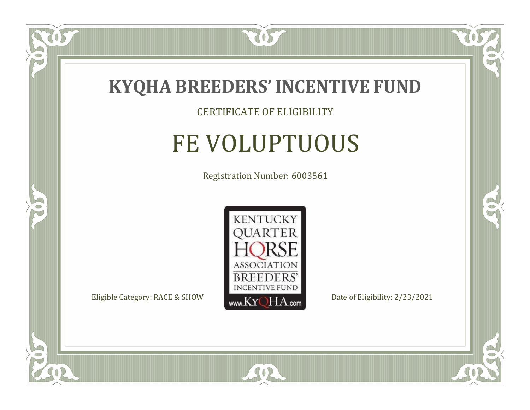

### CERTIFICATE OF ELIGIBILITY

# FE VOLUPTUOUS

Registration Number: 6003561



SOR

CO.

 $\rightarrow$ 

 $\overline{OS}$ 

 $\bullet$ NU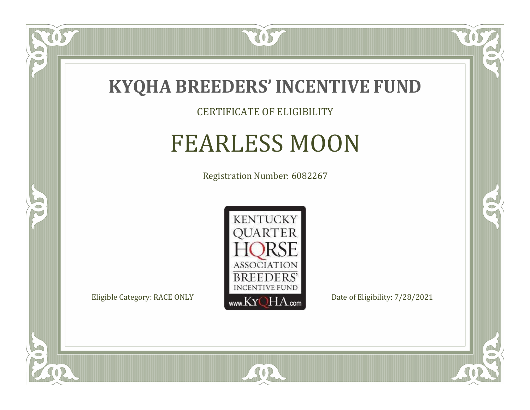

#### CERTIFICATE OF ELIGIBILITY

### FEARLESS MOON

Registration Number: 6082267



SOR

CO.

 $\rightarrow$ 

 $\delta S$ 

 $\bullet$ NU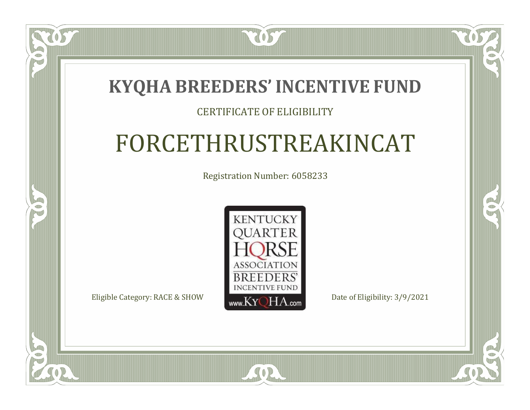### **KYQHA BREEDERS'INCENTIVE FUND**

7057

### CERTIFICATE OF ELIGIBILITY

# FORCETHRUSTREAKINCAT

Registration Number: 6058233



SOR

CO.

 $\rightarrow$ 

 $\Box$ T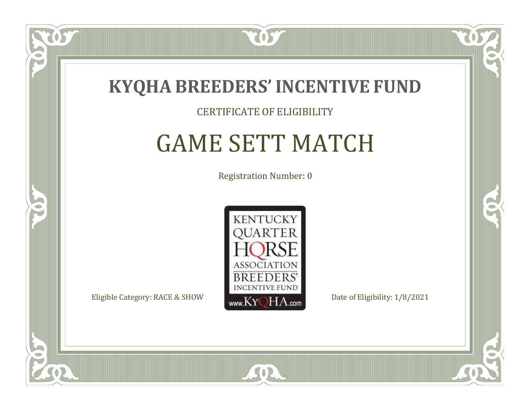

#### CERTIFICATE OF ELIGIBILITY

### GAME SETT MATCH

Registration Number: 0



CO.

 $\rightarrow$ 

 $\Box$ N

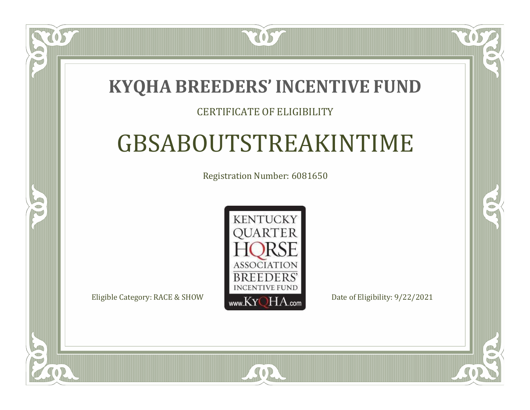### **KYQHA BREEDERS'INCENTIVE FUND**

7057

### CERTIFICATE OF ELIGIBILITY

# GBSABOUTSTREAKINTIME

Registration Number: 6081650



SOR

CO.

 $\rightarrow$ 

 $\Box$ N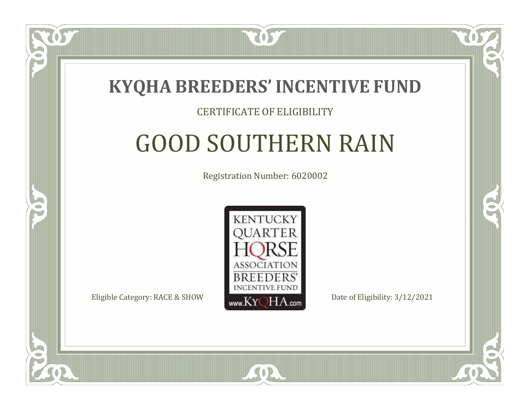

#### CERTIFICATE OF ELIGIBILITY

## GOOD SOUTHERN RAIN

Registration Number: 6020002



SOR

CO.

B)

 $\Box$ N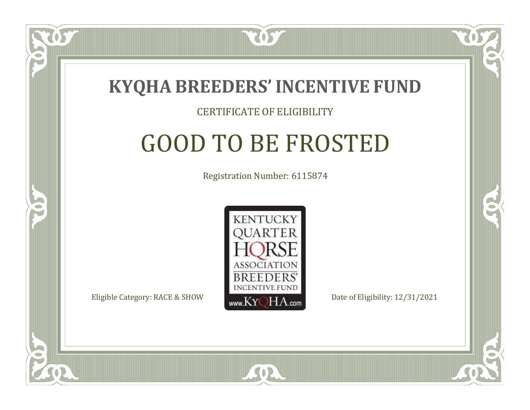

#### CERTIFICATE OF ELIGIBILITY

### GOOD TO BE FROSTED

Registration Number: 6115874



SOR

RO

B.

 $\Box$ N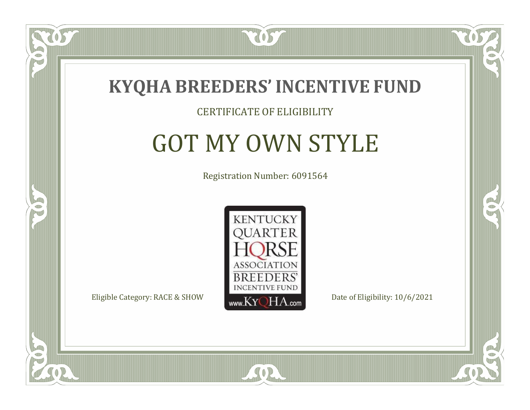

#### CERTIFICATE OF ELIGIBILITY

### GOT MY OWN STYLE

Registration Number: 6091564



SOR

CO.

CO.

 $\Box$ N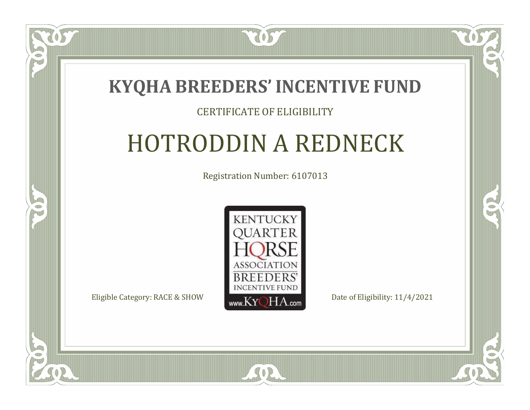

#### CERTIFICATE OF ELIGIBILITY

## HOTRODDIN A REDNECK

Registration Number: 6107013



SOR

RO

CO.

 $\Box$ T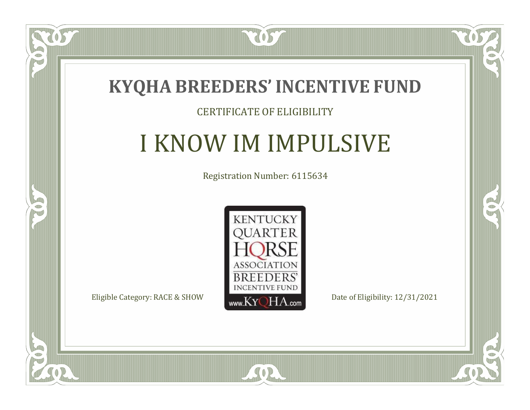

### CERTIFICATE OF ELIGIBILITY

### I KNOW IM IMPULSIVE

Registration Number: 6115634



 $SO2$ 

CO.

 $\rightarrow$ 

 $\blacksquare$ N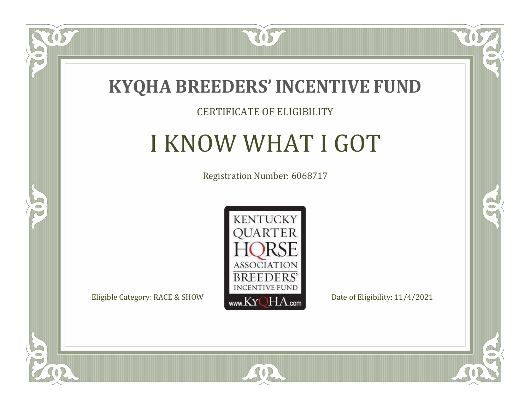![](_page_23_Picture_0.jpeg)

#### CERTIFICATE OF ELIGIBILITY

# I KNOW WHAT I GOT

Registration Number: 6068717

![](_page_23_Picture_4.jpeg)

CO.

 $\rightarrow$ 

 $\delta S$ 

 $\Box$ NU

![](_page_23_Picture_7.jpeg)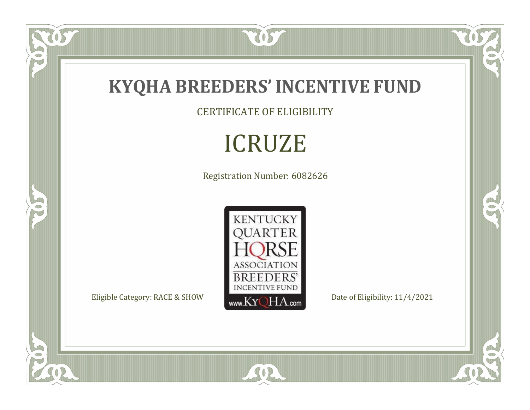![](_page_24_Picture_0.jpeg)

CERTIFICATE OF ELIGIBILITY

# ICRUZE

Registration Number: 6082626

![](_page_24_Picture_4.jpeg)

SOR

 $\mathbb{R}$ 

 $\mathbb{R}^2$ 

US.

P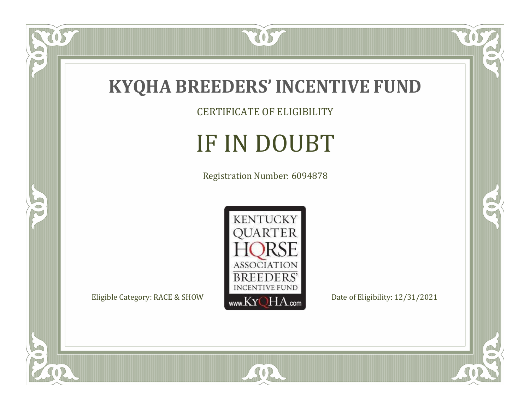![](_page_25_Picture_0.jpeg)

US.

 $\bullet$ N

5

CERTIFICATE OF ELIGIBILITY

# IF IN DOUBT

Registration Number: 6094878

![](_page_25_Picture_4.jpeg)

SOR

 $\mathbb{R}$ 

 $\mathbb{R}^2$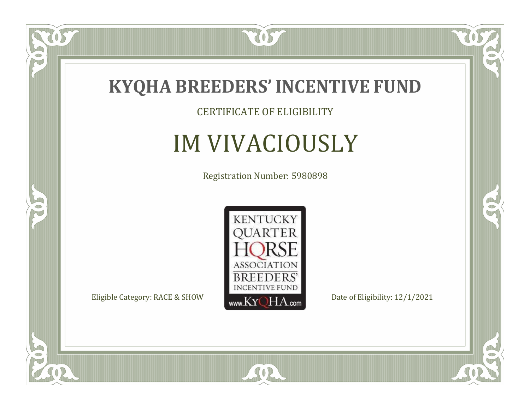![](_page_26_Picture_0.jpeg)

CERTIFICATE OF ELIGIBILITY

# IM VIVACIOUSLY

Registration Number: 5980898

![](_page_26_Picture_4.jpeg)

SOR

 $\mathbb{R}$ 

 $\rightarrow$ 

US

 $\bullet$ NU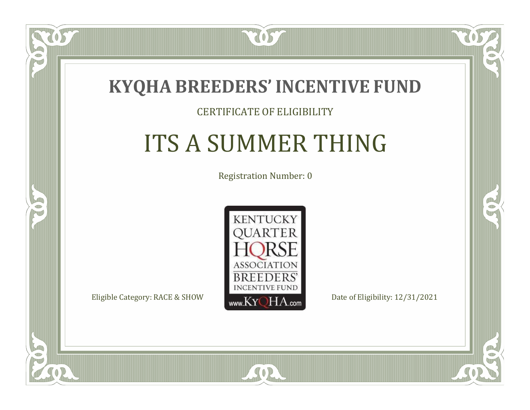![](_page_27_Picture_0.jpeg)

#### CERTIFICATE OF ELIGIBILITY

# ITS A SUMMER THING

Registration Number: 0

![](_page_27_Picture_4.jpeg)

 $SO2$ 

CO.

 $\rightarrow$ 

 $\blacksquare$ N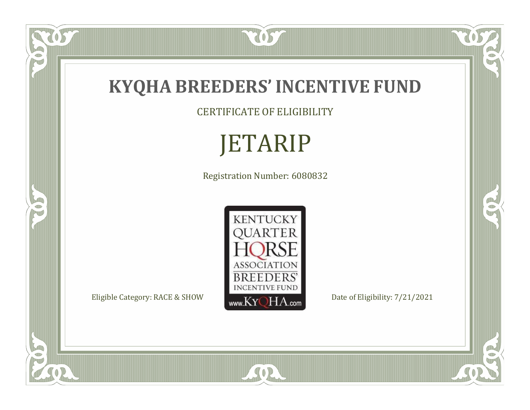![](_page_28_Picture_0.jpeg)

CERTIFICATE OF ELIGIBILITY

# JETARIP

Registration Number: 6080832

![](_page_28_Picture_4.jpeg)

SOR

RO

 $\mathbb{R}^2$ 

 $\check{OS}$ 

P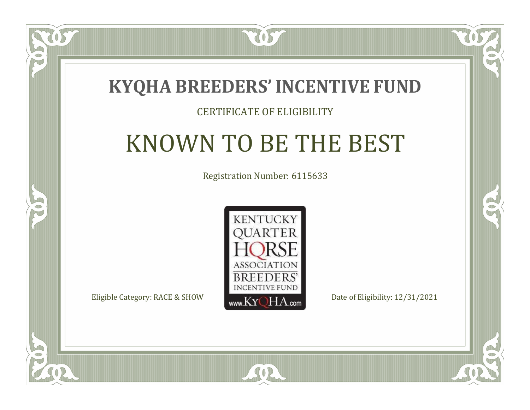![](_page_29_Picture_0.jpeg)

#### CERTIFICATE OF ELIGIBILITY

### KNOWN TO BE THE BEST

Registration Number: 6115633

![](_page_29_Picture_4.jpeg)

SOR

 $\mathbb{R}$ 

CO.

 $\Box$ T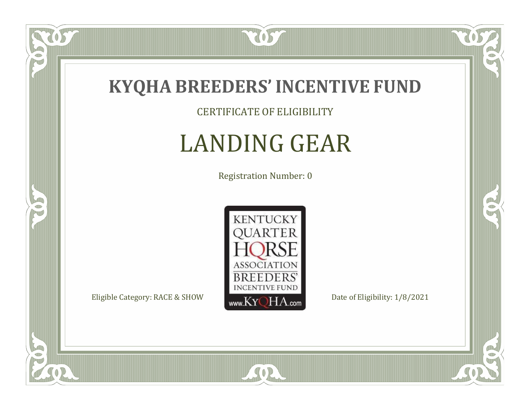![](_page_30_Picture_0.jpeg)

 $\overline{OS}$ 

 $\bullet$ NU

5

CERTIFICATE OF ELIGIBILITY

# LANDING GEAR

Registration Number: 0

![](_page_30_Picture_4.jpeg)

SOR

 $\mathbb{R}$ 

 $\rightarrow$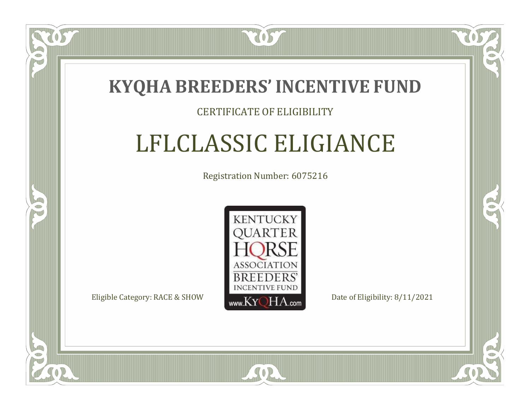![](_page_31_Picture_0.jpeg)

#### CERTIFICATE OF ELIGIBILITY

# LFLCLASSIC ELIGIANCE

Registration Number: 6075216

![](_page_31_Picture_4.jpeg)

 $SO<sub>2</sub>$ 

RO

P.

 $\Box$ N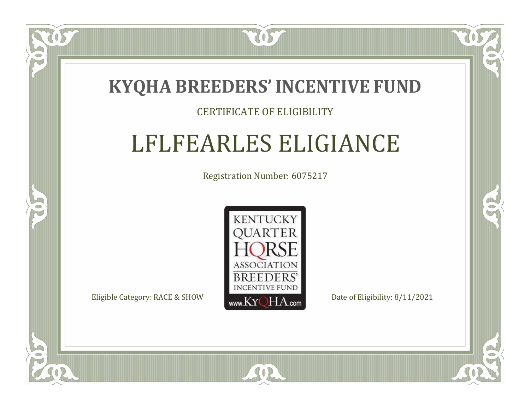![](_page_32_Picture_0.jpeg)

#### CERTIFICATE OF ELIGIBILITY

### LFLFEARLES ELIGIANCE

Registration Number: 6075217

![](_page_32_Picture_4.jpeg)

 $SO<sub>2</sub>$ 

RO

B)

 $\Box$ N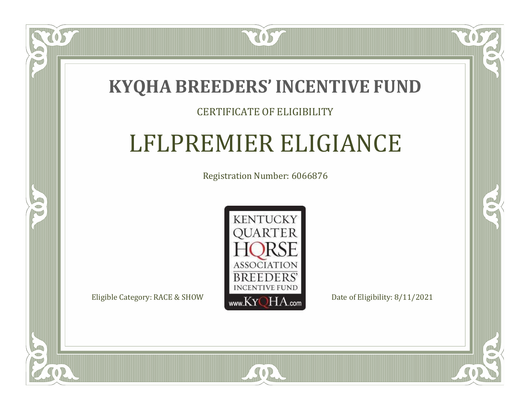### **KYQHA BREEDERS'INCENTIVE FUND**

7057

### CERTIFICATE OF ELIGIBILITY

## LFLPREMIER ELIGIANCE

Registration Number: 6066876

![](_page_33_Picture_4.jpeg)

 $SO<sub>2</sub>$ 

RO

 $\rightarrow$ 

 $\Box$ N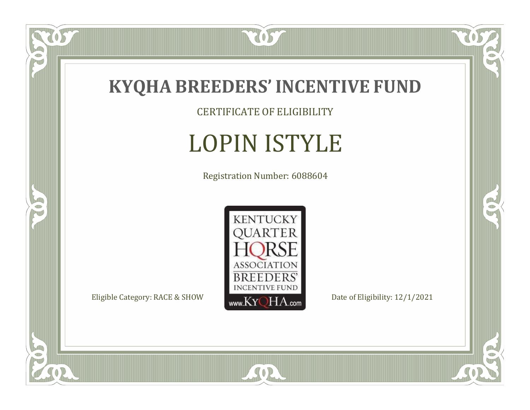![](_page_34_Picture_0.jpeg)

CERTIFICATE OF ELIGIBILITY

# LOPIN ISTYLE

Registration Number: 6088604

![](_page_34_Picture_4.jpeg)

SOR

 $\mathbb{R}$ 

 $\rightarrow$ 

tos

 $\bullet$ N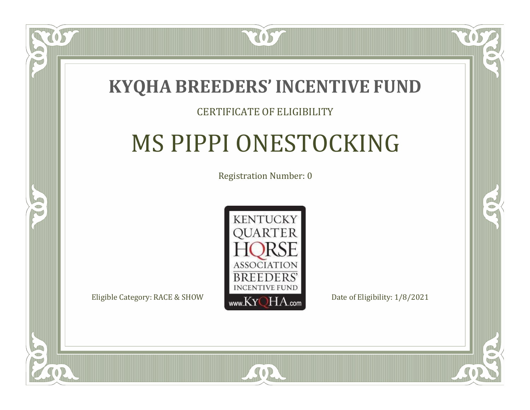![](_page_35_Picture_0.jpeg)

#### CERTIFICATE OF ELIGIBILITY

# MS PIPPI ONESTOCKING

Registration Number: 0

![](_page_35_Picture_4.jpeg)

SOR

CO.

B

 $\Box$ N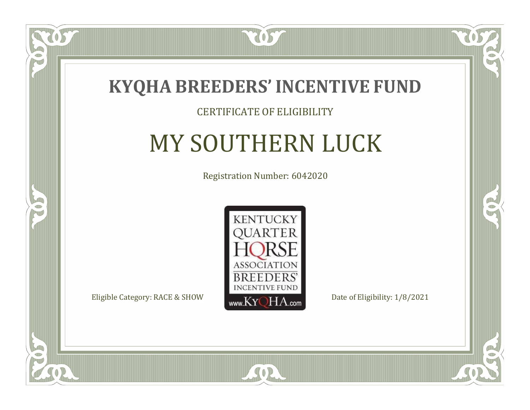![](_page_36_Picture_0.jpeg)

#### CERTIFICATE OF ELIGIBILITY

# MY SOUTHERN LUCK

Registration Number: 6042020

![](_page_36_Picture_4.jpeg)

SOR

CO.

 $\rightarrow$ 

 $\delta S$ 

 $\Box$ NU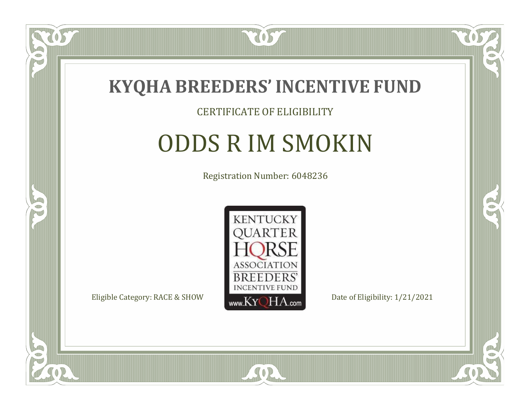![](_page_37_Picture_0.jpeg)

#### CERTIFICATE OF ELIGIBILITY

### ODDS R IM SMOKIN

Registration Number: 6048236

![](_page_37_Picture_4.jpeg)

SOR

 $\Box$ NU

5

CO.

B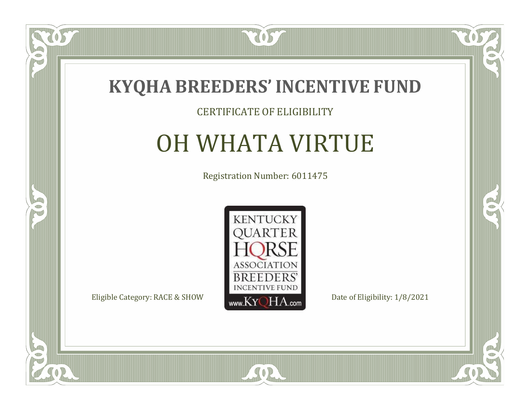![](_page_38_Picture_0.jpeg)

#### CERTIFICATE OF ELIGIBILITY

### OH WHATA VIRTUE

Registration Number: 6011475

![](_page_38_Picture_4.jpeg)

 $\mathbb{R}$ 

 $\rightarrow$ 

057

 $\bullet$ NU

![](_page_38_Picture_7.jpeg)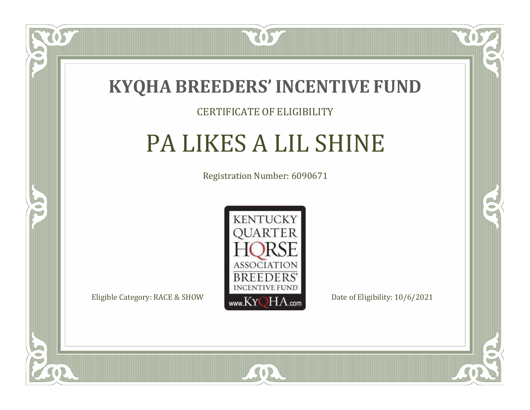![](_page_39_Picture_0.jpeg)

#### CERTIFICATE OF ELIGIBILITY

### PA LIKES A LIL SHINE

Registration Number: 6090671

![](_page_39_Picture_4.jpeg)

 $SO<sub>2</sub>$ 

RO

CO.

 $\Box$ N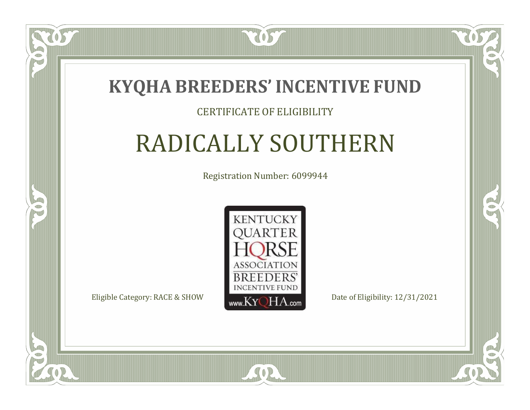![](_page_40_Picture_0.jpeg)

#### CERTIFICATE OF ELIGIBILITY

## RADICALLY SOUTHERN

Registration Number: 6099944

![](_page_40_Picture_4.jpeg)

SOR

CO.

 $\rightarrow$ 

 $\blacksquare$ N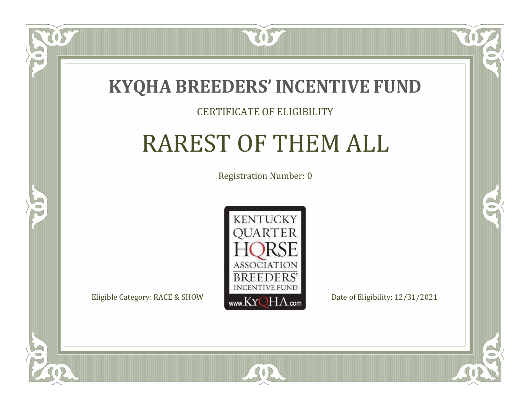![](_page_41_Picture_0.jpeg)

#### CERTIFICATE OF ELIGIBILITY

## RAREST OF THEM ALL

Registration Number: 0

![](_page_41_Picture_4.jpeg)

SOR

 $\delta S$ 

 $\Box$ N

5

 $\mathbb{R}$ 

 $\rightarrow$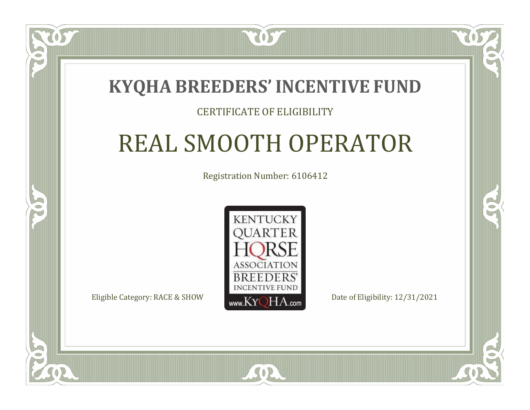### **KYQHA BREEDERS'INCENTIVE FUND**

7057

#### CERTIFICATE OF ELIGIBILITY

## REAL SMOOTH OPERATOR

Registration Number: 6106412

![](_page_42_Picture_4.jpeg)

 $SO2$ 

RO

P.

 $\Box$ T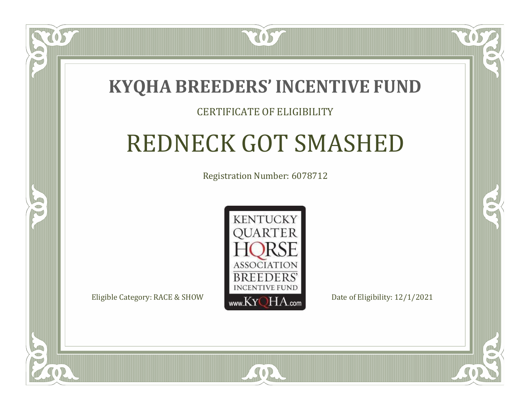![](_page_43_Picture_0.jpeg)

#### CERTIFICATE OF ELIGIBILITY

# REDNECK GOT SMASHED

Registration Number: 6078712

![](_page_43_Picture_4.jpeg)

SOR

 $\Box$ T

S

RO

CO.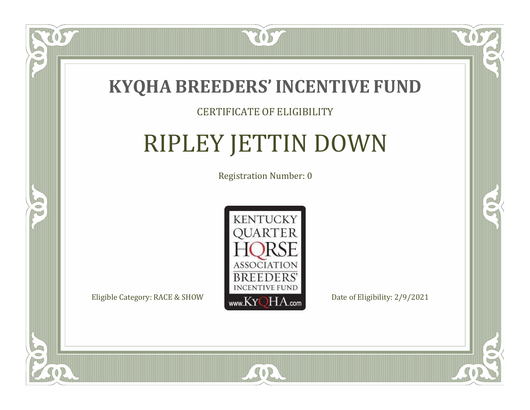![](_page_44_Picture_0.jpeg)

#### CERTIFICATE OF ELIGIBILITY

# RIPLEY JETTIN DOWN

Registration Number: 0

![](_page_44_Picture_4.jpeg)

SOR

CO.

B

 $\Box$ N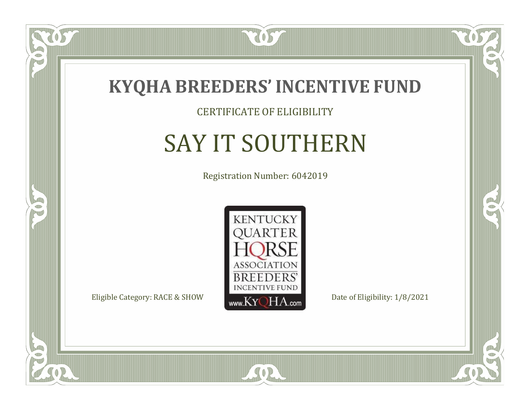![](_page_45_Picture_0.jpeg)

CERTIFICATE OF ELIGIBILITY

# SAY IT SOUTHERN

Registration Number: 6042019

![](_page_45_Picture_4.jpeg)

SOR

CO.

 $\rightarrow$ 

US

 $\bullet$ NU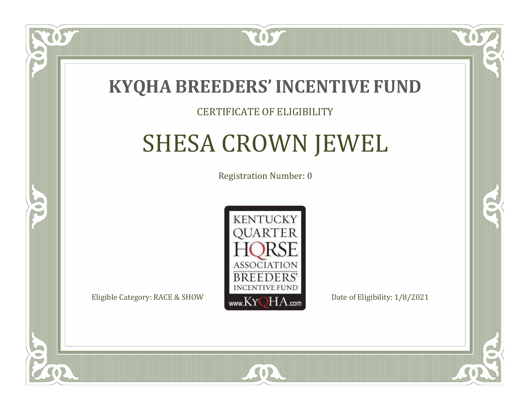![](_page_46_Picture_0.jpeg)

#### CERTIFICATE OF ELIGIBILITY

# SHESA CROWN JEWEL

Registration Number: 0

![](_page_46_Picture_4.jpeg)

 $SO<sub>2</sub>$ 

RO

P.

 $\Box$ N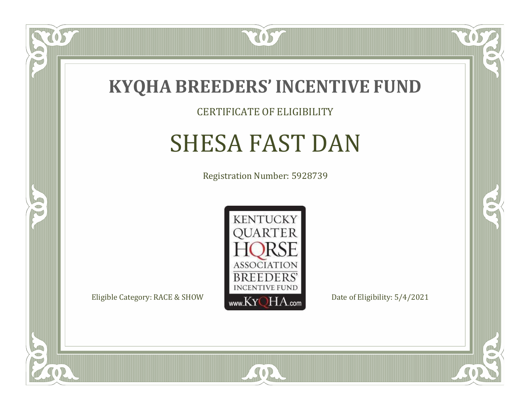![](_page_47_Picture_0.jpeg)

#### CERTIFICATE OF ELIGIBILITY

## SHESA FAST DAN

Registration Number: 5928739

![](_page_47_Picture_4.jpeg)

SOR

CO.

 $\rightarrow$ 

 $\delta S$ 

 $\bullet$ NU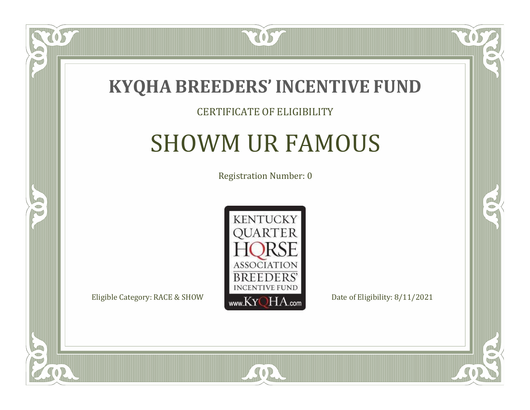![](_page_48_Picture_0.jpeg)

#### CERTIFICATE OF ELIGIBILITY

### SHOWM UR FAMOUS

Registration Number: 0

![](_page_48_Picture_4.jpeg)

SOR

CO.

 $\rightarrow$ 

US

 $\Box$ NU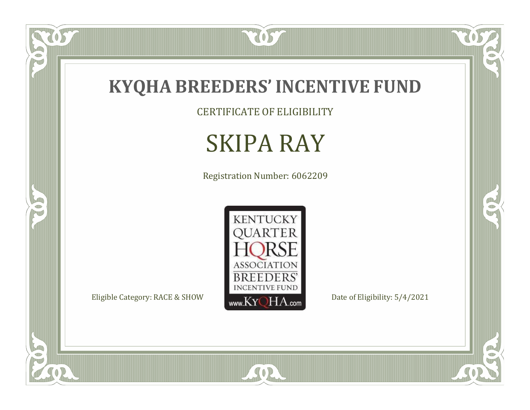![](_page_49_Picture_0.jpeg)

CERTIFICATE OF ELIGIBILITY

## SKIPA RAY

Registration Number: 6062209

![](_page_49_Picture_4.jpeg)

SOR

 $\mathbb{R}$ 

 $\mathbb{R}^2$ 

US.

 $\bullet$ N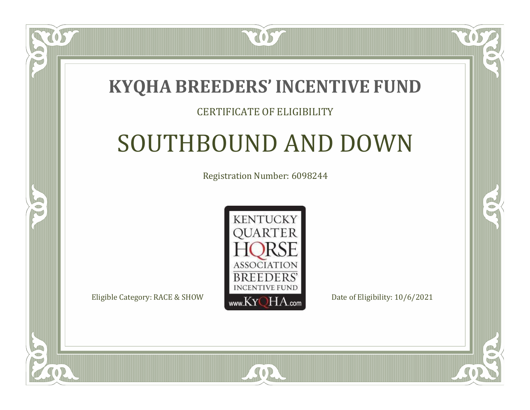### **KYQHA BREEDERS'INCENTIVE FUND**

7057

### CERTIFICATE OF ELIGIBILITY

## SOUTHBOUND AND DOWN

Registration Number: 6098244

![](_page_50_Picture_4.jpeg)

SOR

CO.

P.

 $\Box$ N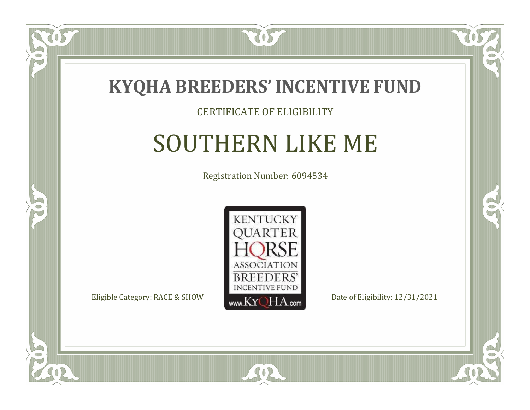![](_page_51_Picture_0.jpeg)

#### CERTIFICATE OF ELIGIBILITY

### SOUTHERN LIKE ME

Registration Number: 6094534

![](_page_51_Picture_4.jpeg)

SOR

CO.

 $\rightarrow$ 

US

 $\Box$ NU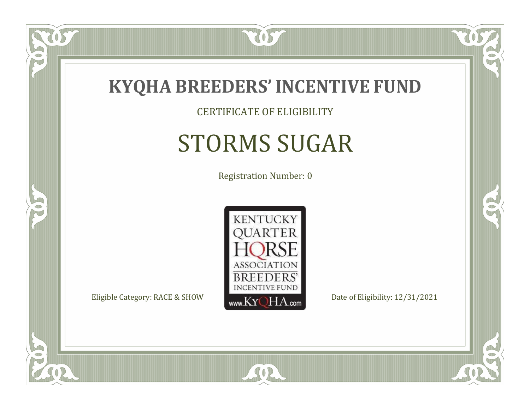![](_page_52_Picture_0.jpeg)

### CERTIFICATE OF ELIGIBILITY

# STORMS SUGAR

Registration Number: 0

![](_page_52_Picture_4.jpeg)

SOR

CO.

B

057

 $\Box$ NU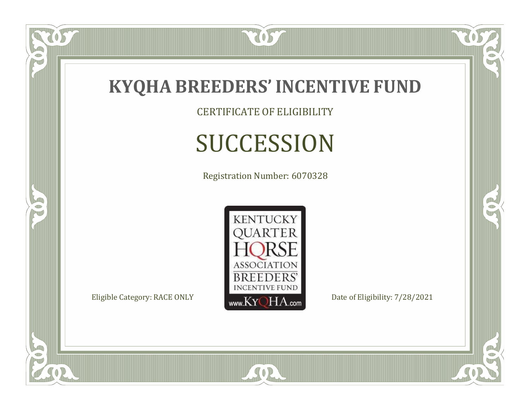![](_page_53_Picture_0.jpeg)

CERTIFICATE OF ELIGIBILITY

# SUCCESSION

Registration Number: 6070328

![](_page_53_Picture_4.jpeg)

SOR

 $\mathbb{R}$ 

 $\rightarrow$ 

US

 $\bullet$ N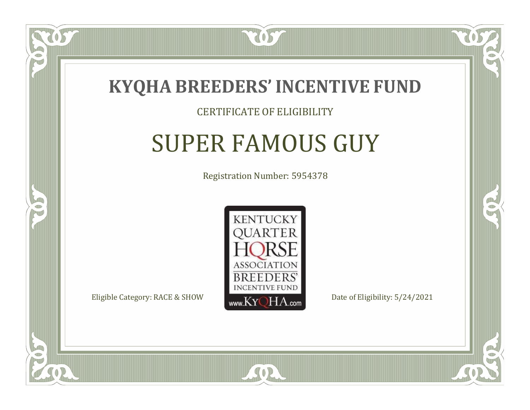![](_page_54_Picture_0.jpeg)

 $\Box$ N

5

#### CERTIFICATE OF ELIGIBILITY

### SUPER FAMOUS GUY

Registration Number: 5954378

![](_page_54_Picture_4.jpeg)

SOR

RO

B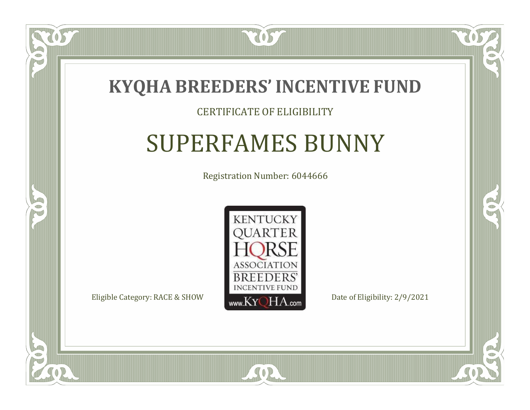![](_page_55_Picture_0.jpeg)

#### CERTIFICATE OF ELIGIBILITY

### SUPERFAMES BUNNY

Registration Number: 6044666

![](_page_55_Picture_4.jpeg)

SOR

RO

B

 $\Box$ N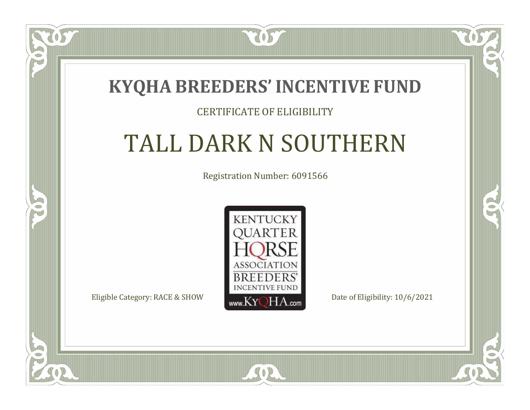### **KYQHA BREEDERS'INCENTIVE FUND**

7057

### CERTIFICATE OF ELIGIBILITY

# TALL DARK N SOUTHERN

Registration Number: 6091566

![](_page_56_Picture_4.jpeg)

SOR

RO

CO.

 $\Box$ T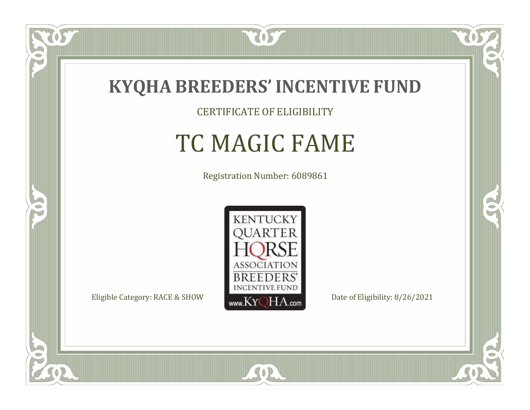![](_page_57_Picture_0.jpeg)

CERTIFICATE OF ELIGIBILITY

# TC MAGIC FAME

Registration Number: 6089861

![](_page_57_Picture_4.jpeg)

 $SO<sub>2</sub>$ 

RO

B

 $\Box$ NU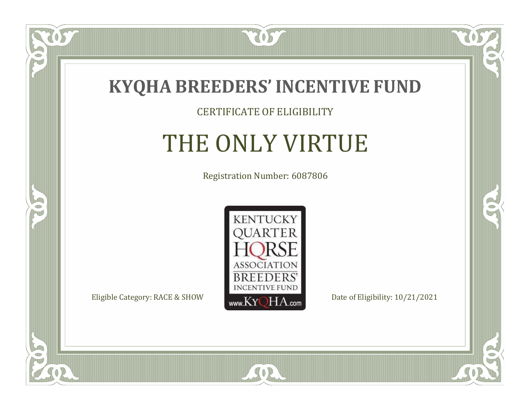![](_page_58_Picture_0.jpeg)

#### CERTIFICATE OF ELIGIBILITY

### THE ONLY VIRTUE

Registration Number: 6087806

![](_page_58_Picture_4.jpeg)

SOR

CO.

 $\rightarrow$ 

OS

 $\bullet$ NU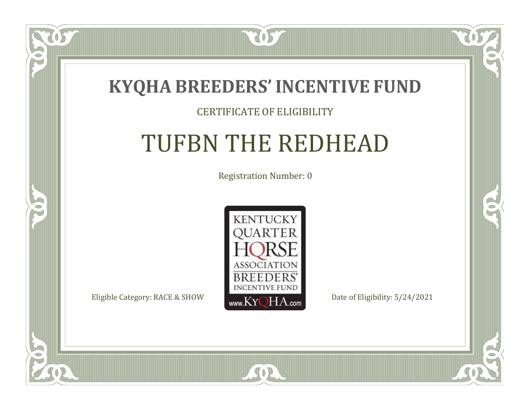![](_page_59_Picture_0.jpeg)

#### CERTIFICATE OF ELIGIBILITY

## TUFBN THE REDHEAD

Registration Number: 0

![](_page_59_Picture_4.jpeg)

SOR

 $\mathbb{R}$ 

 $\rightarrow$ 

US

 $\bullet$ NU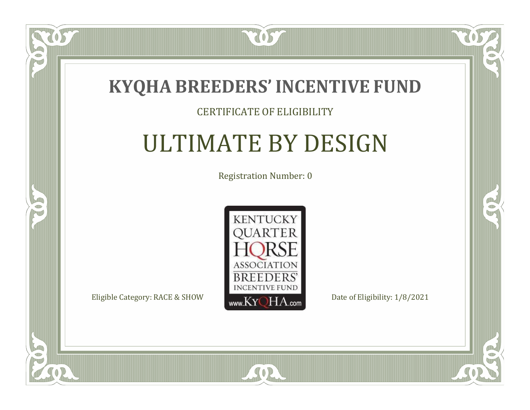![](_page_60_Picture_0.jpeg)

#### CERTIFICATE OF ELIGIBILITY

## ULTIMATE BY DESIGN

Registration Number: 0

![](_page_60_Picture_4.jpeg)

 $SO2$ 

CO.

 $\rightarrow$ 

OS

 $\bullet$ NU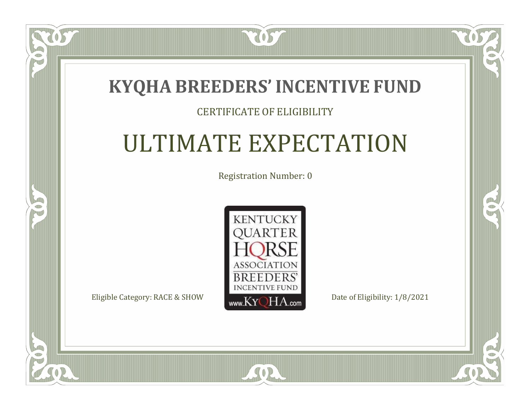### **KYQHA BREEDERS'INCENTIVE FUND**

7057

### CERTIFICATE OF ELIGIBILITY

## ULTIMATE EXPECTATION

Registration Number: 0

![](_page_61_Picture_4.jpeg)

 $SO2$ 

 $\bullet$ N

5

 $\mathbb{R}$ 

 $\rightarrow$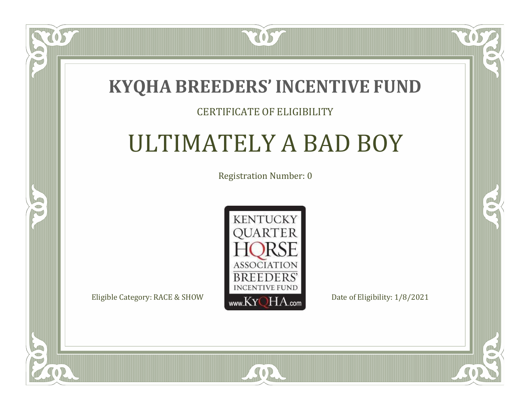### **KYQHA BREEDERS'INCENTIVE FUND**

7057

### CERTIFICATE OF ELIGIBILITY

## ULTIMATELY A BAD BOY

Registration Number: 0

![](_page_62_Picture_4.jpeg)

SOR

CO.

 $\rightarrow$ 

 $\blacksquare$ N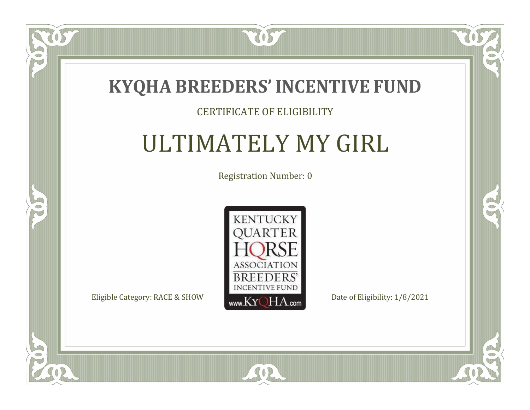![](_page_63_Picture_0.jpeg)

#### CERTIFICATE OF ELIGIBILITY

### ULTIMATELY MY GIRL

Registration Number: 0

![](_page_63_Picture_4.jpeg)

SOR

 $\mathbb{R}$ 

 $\rightarrow$ 

 $\overline{OS}$ 

 $\bullet$ NU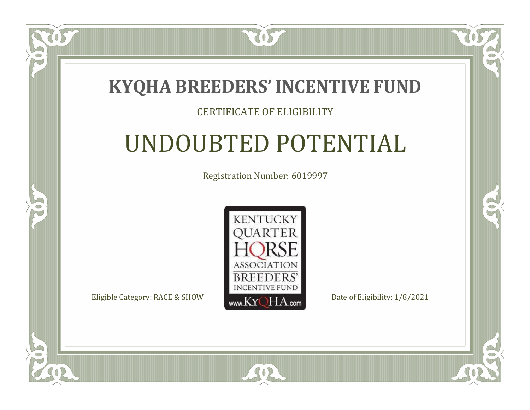![](_page_64_Picture_0.jpeg)

#### CERTIFICATE OF ELIGIBILITY

## UNDOUBTED POTENTIAL

Registration Number: 6019997

![](_page_64_Picture_4.jpeg)

SOR

CO.

 $\rightarrow$ 

 $\blacksquare$ N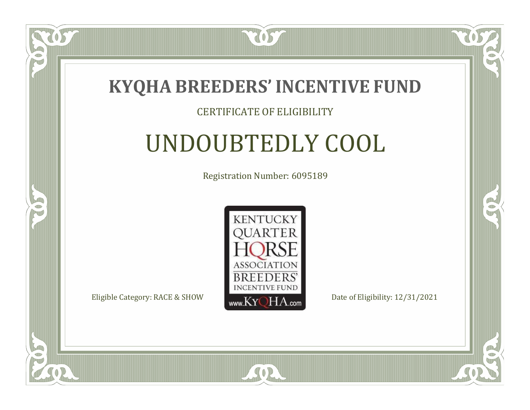![](_page_65_Picture_0.jpeg)

#### CERTIFICATE OF ELIGIBILITY

## UNDOUBTEDLY COOL

Registration Number: 6095189

![](_page_65_Picture_4.jpeg)

SOR

CO.

B

 $\blacksquare$ N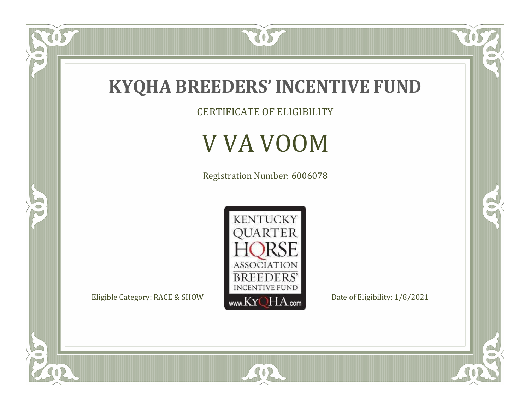![](_page_66_Picture_0.jpeg)

CERTIFICATE OF ELIGIBILITY

### V VA VOOM

Registration Number: 6006078

![](_page_66_Picture_4.jpeg)

SOR

RO

 $\mathbb{R}^2$ 

US.

 $\bullet$ N

5

O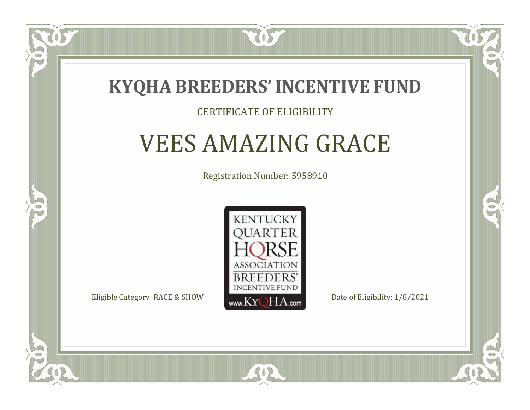![](_page_67_Picture_0.jpeg)

#### CERTIFICATE OF ELIGIBILITY

### VEES AMAZING GRACE

Registration Number: 5958910

![](_page_67_Picture_4.jpeg)

SOR

RO

CO.

 $\Box$ T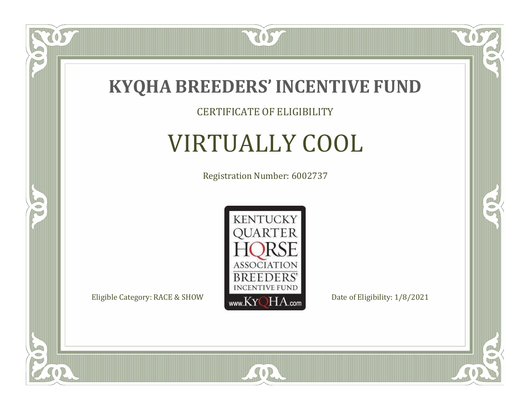![](_page_68_Picture_0.jpeg)

 $\overline{OS}$ 

 $\bullet$ NU

5

#### CERTIFICATE OF ELIGIBILITY

## VIRTUALLY COOL

Registration Number: 6002737

![](_page_68_Picture_4.jpeg)

SOR

CO.

 $\rightarrow$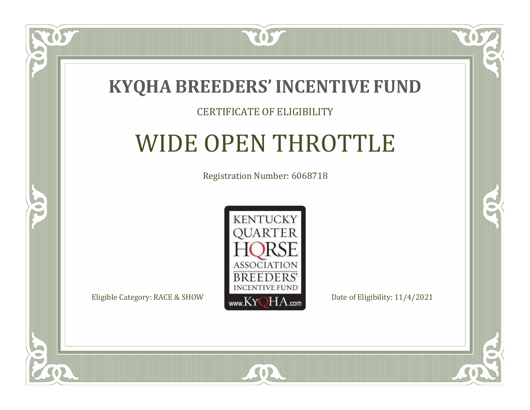![](_page_69_Picture_0.jpeg)

#### CERTIFICATE OF ELIGIBILITY

### WIDE OPEN THROTTLE

Registration Number: 6068718

![](_page_69_Picture_4.jpeg)

 $SO2$ 

CO.

 $\rightarrow$ 

 $\Box$ N